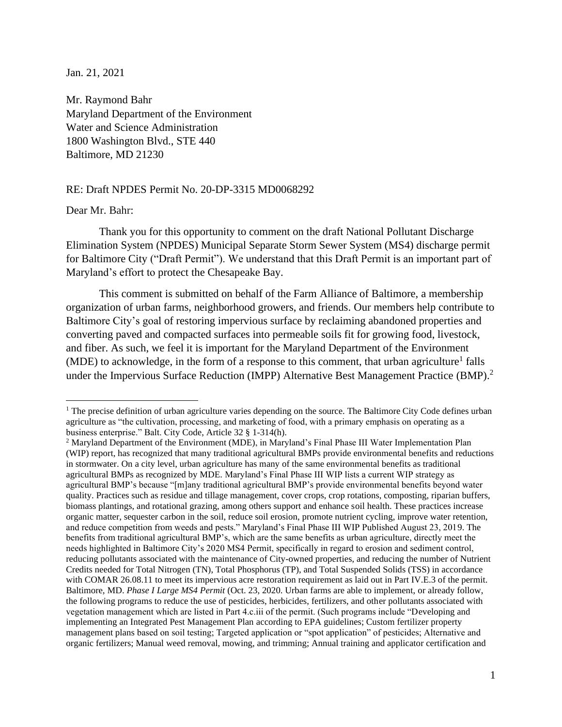Jan. 21, 2021

Mr. Raymond Bahr Maryland Department of the Environment Water and Science Administration 1800 Washington Blvd., STE 440 Baltimore, MD 21230

### RE: Draft NPDES Permit No. 20-DP-3315 MD0068292

### Dear Mr. Bahr:

Thank you for this opportunity to comment on the draft National Pollutant Discharge Elimination System (NPDES) Municipal Separate Storm Sewer System (MS4) discharge permit for Baltimore City ("Draft Permit"). We understand that this Draft Permit is an important part of Maryland's effort to protect the Chesapeake Bay.

This comment is submitted on behalf of the Farm Alliance of Baltimore, a membership organization of urban farms, neighborhood growers, and friends. Our members help contribute to Baltimore City's goal of restoring impervious surface by reclaiming abandoned properties and converting paved and compacted surfaces into permeable soils fit for growing food, livestock, and fiber. As such, we feel it is important for the Maryland Department of the Environment (MDE) to acknowledge, in the form of a response to this comment, that urban agriculture<sup>1</sup> falls under the Impervious Surface Reduction (IMPP) Alternative Best Management Practice (BMP).<sup>2</sup>

<sup>&</sup>lt;sup>1</sup> The precise definition of urban agriculture varies depending on the source. The Baltimore City Code defines urban agriculture as "the cultivation, processing, and marketing of food, with a primary emphasis on operating as a business enterprise." Balt. City Code, Article 32 § 1-314(h).

<sup>2</sup> Maryland Department of the Environment (MDE), in Maryland's Final Phase III Water Implementation Plan (WIP) report, has recognized that many traditional agricultural BMPs provide environmental benefits and reductions in stormwater. On a city level, urban agriculture has many of the same environmental benefits as traditional agricultural BMPs as recognized by MDE. Maryland's Final Phase III WIP lists a current WIP strategy as agricultural BMP's because "[m]any traditional agricultural BMP's provide environmental benefits beyond water quality. Practices such as residue and tillage management, cover crops, crop rotations, composting, riparian buffers, biomass plantings, and rotational grazing, among others support and enhance soil health. These practices increase organic matter, sequester carbon in the soil, reduce soil erosion, promote nutrient cycling, improve water retention, and reduce competition from weeds and pests." Maryland's Final Phase III WIP Published August 23, 2019. The benefits from traditional agricultural BMP's, which are the same benefits as urban agriculture, directly meet the needs highlighted in Baltimore City's 2020 MS4 Permit, specifically in regard to erosion and sediment control, reducing pollutants associated with the maintenance of City-owned properties, and reducing the number of Nutrient Credits needed for Total Nitrogen (TN), Total Phosphorus (TP), and Total Suspended Solids (TSS) in accordance with COMAR 26.08.11 to meet its impervious acre restoration requirement as laid out in Part IV.E.3 of the permit. Baltimore, MD. *Phase I Large MS4 Permit* (Oct. 23, 2020. Urban farms are able to implement, or already follow, the following programs to reduce the use of pesticides, herbicides, fertilizers, and other pollutants associated with vegetation management which are listed in Part 4.c.iii of the permit. (Such programs include "Developing and implementing an Integrated Pest Management Plan according to EPA guidelines; Custom fertilizer property management plans based on soil testing; Targeted application or "spot application" of pesticides; Alternative and organic fertilizers; Manual weed removal, mowing, and trimming; Annual training and applicator certification and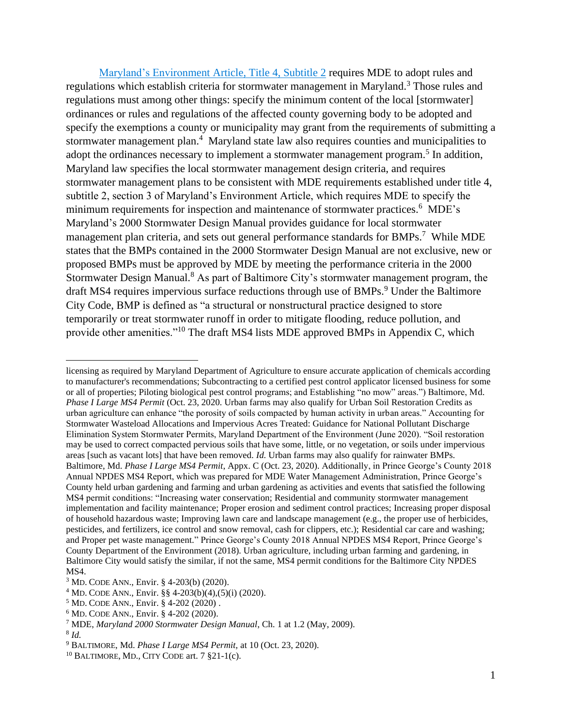Maryland's Environment Article, Title 4, Subtitle 2 requires MDE to adopt rules and regulations which establish criteria for stormwater management in Maryland.<sup>3</sup> Those rules and regulations must among other things: specify the minimum content of the local [stormwater] ordinances or rules and regulations of the affected county governing body to be adopted and specify the exemptions a county or municipality may grant from the requirements of submitting a stormwater management plan.<sup>4</sup> Maryland state law also requires counties and municipalities to adopt the ordinances necessary to implement a stormwater management program.<sup>5</sup> In addition, Maryland law specifies the local stormwater management design criteria, and requires stormwater management plans to be consistent with MDE requirements established under title 4, subtitle 2, section 3 of Maryland's Environment Article, which requires MDE to specify the minimum requirements for inspection and maintenance of stormwater practices.<sup>6</sup> MDE's Maryland's 2000 Stormwater Design Manual provides guidance for local stormwater management plan criteria, and sets out general performance standards for BMPs.<sup>7</sup> While MDE states that the BMPs contained in the 2000 Stormwater Design Manual are not exclusive, new or proposed BMPs must be approved by MDE by meeting the performance criteria in the 2000 Stormwater Design Manual.<sup>8</sup> As part of Baltimore City's stormwater management program, the draft MS4 requires impervious surface reductions through use of BMPs.<sup>9</sup> Under the Baltimore City Code, BMP is defined as "a structural or nonstructural practice designed to store temporarily or treat stormwater runoff in order to mitigate flooding, reduce pollution, and provide other amenities."<sup>10</sup> The draft MS4 lists MDE approved BMPs in Appendix C, which

licensing as required by Maryland Department of Agriculture to ensure accurate application of chemicals according to manufacturer's recommendations; Subcontracting to a certified pest control applicator licensed business for some or all of properties; Piloting biological pest control programs; and Establishing "no mow" areas.") Baltimore, Md. *Phase I Large MS4 Permit* (Oct. 23, 2020. Urban farms may also qualify for Urban Soil Restoration Credits as urban agriculture can enhance "the porosity of soils compacted by human activity in urban areas." Accounting for Stormwater Wasteload Allocations and Impervious Acres Treated: Guidance for National Pollutant Discharge Elimination System Stormwater Permits, Maryland Department of the Environment (June 2020). "Soil restoration may be used to correct compacted pervious soils that have some, little, or no vegetation, or soils under impervious areas [such as vacant lots] that have been removed. *Id.* Urban farms may also qualify for rainwater BMPs. Baltimore, Md. *Phase I Large MS4 Permit*, Appx. C (Oct. 23, 2020). Additionally, in Prince George's County 2018 Annual NPDES MS4 Report, which was prepared for MDE Water Management Administration, Prince George's County held urban gardening and farming and urban gardening as activities and events that satisfied the following MS4 permit conditions: "Increasing water conservation; Residential and community stormwater management implementation and facility maintenance; Proper erosion and sediment control practices; Increasing proper disposal of household hazardous waste; Improving lawn care and landscape management (e.g., the proper use of herbicides, pesticides, and fertilizers, ice control and snow removal, cash for clippers, etc.); Residential car care and washing; and Proper pet waste management." Prince George's County 2018 Annual NPDES MS4 Report, Prince George's County Department of the Environment (2018). Urban agriculture, including urban farming and gardening, in Baltimore City would satisfy the similar, if not the same, MS4 permit conditions for the Baltimore City NPDES MS4.

<sup>3</sup> MD. CODE ANN., Envir. § 4-203(b) (2020).

<sup>&</sup>lt;sup>4</sup> MD. CODE ANN., Envir. §§ 4-203(b)(4),(5)(i) (2020).

<sup>5</sup> MD. CODE ANN., Envir. § 4-202 (2020) .

<sup>6</sup> MD. CODE ANN., Envir. § 4-202 (2020).

<sup>7</sup> MDE, *Maryland 2000 Stormwater Design Manual*, Ch. 1 at 1.2 (May, 2009). 8 *Id.* 

<sup>9</sup> BALTIMORE, Md. *Phase I Large MS4 Permit,* at 10 (Oct. 23, 2020).

 $10$  BALTIMORE, MD., CITY CODE art. 7 §21-1(c).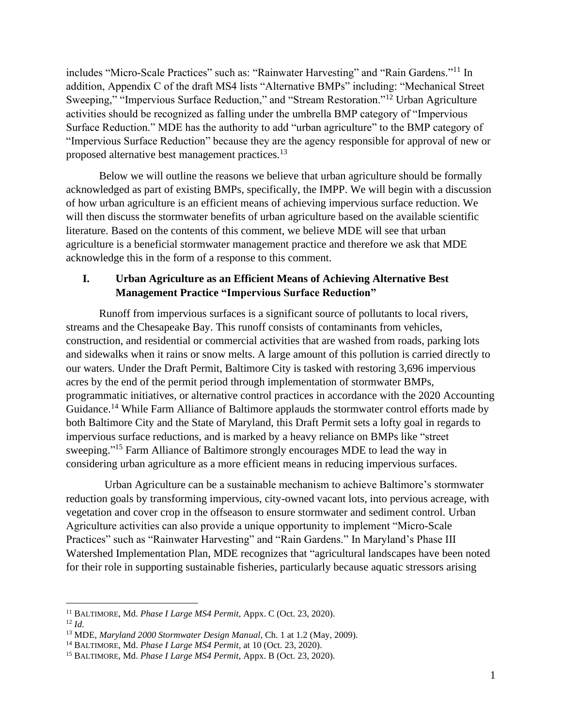includes "Micro-Scale Practices" such as: "Rainwater Harvesting" and "Rain Gardens."<sup>11</sup> In addition, Appendix C of the draft MS4 lists "Alternative BMPs" including: "Mechanical Street Sweeping," "Impervious Surface Reduction," and "Stream Restoration."<sup>12</sup> Urban Agriculture activities should be recognized as falling under the umbrella BMP category of "Impervious Surface Reduction." MDE has the authority to add "urban agriculture" to the BMP category of "Impervious Surface Reduction" because they are the agency responsible for approval of new or proposed alternative best management practices.<sup>13</sup>

Below we will outline the reasons we believe that urban agriculture should be formally acknowledged as part of existing BMPs, specifically, the IMPP. We will begin with a discussion of how urban agriculture is an efficient means of achieving impervious surface reduction. We will then discuss the stormwater benefits of urban agriculture based on the available scientific literature. Based on the contents of this comment, we believe MDE will see that urban agriculture is a beneficial stormwater management practice and therefore we ask that MDE acknowledge this in the form of a response to this comment.

# **I. Urban Agriculture as an Efficient Means of Achieving Alternative Best Management Practice "Impervious Surface Reduction"**

Runoff from impervious surfaces is a significant source of pollutants to local rivers, streams and the Chesapeake Bay. This runoff consists of contaminants from vehicles, construction, and residential or commercial activities that are washed from roads, parking lots and sidewalks when it rains or snow melts. A large amount of this pollution is carried directly to our waters. Under the Draft Permit, Baltimore City is tasked with restoring 3,696 impervious acres by the end of the permit period through implementation of stormwater BMPs, programmatic initiatives, or alternative control practices in accordance with the 2020 Accounting Guidance.<sup>14</sup> While Farm Alliance of Baltimore applauds the stormwater control efforts made by both Baltimore City and the State of Maryland, this Draft Permit sets a lofty goal in regards to impervious surface reductions, and is marked by a heavy reliance on BMPs like "street sweeping."<sup>15</sup> Farm Alliance of Baltimore strongly encourages MDE to lead the way in considering urban agriculture as a more efficient means in reducing impervious surfaces.

Urban Agriculture can be a sustainable mechanism to achieve Baltimore's stormwater reduction goals by transforming impervious, city-owned vacant lots, into pervious acreage, with vegetation and cover crop in the offseason to ensure stormwater and sediment control. Urban Agriculture activities can also provide a unique opportunity to implement "Micro-Scale Practices" such as "Rainwater Harvesting" and "Rain Gardens." In Maryland's Phase III Watershed Implementation Plan, MDE recognizes that "agricultural landscapes have been noted for their role in supporting sustainable fisheries, particularly because aquatic stressors arising

<sup>11</sup> BALTIMORE, Md. *Phase I Large MS4 Permit,* Appx. C (Oct. 23, 2020).

<sup>12</sup> *Id.*

<sup>13</sup> MDE, *Maryland 2000 Stormwater Design Manual*, Ch. 1 at 1.2 (May, 2009).

<sup>14</sup> BALTIMORE, Md. *Phase I Large MS4 Permit,* at 10 (Oct. 23, 2020).

<sup>15</sup> BALTIMORE, Md. *Phase I Large MS4 Permit,* Appx. B (Oct. 23, 2020).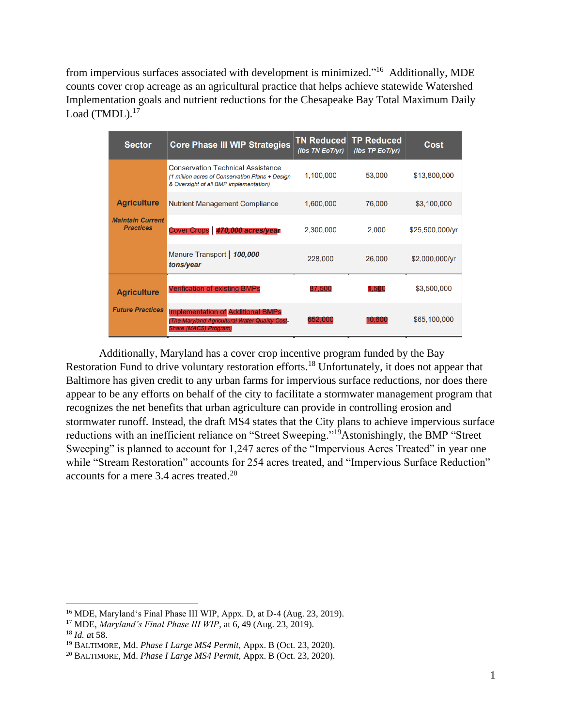from impervious surfaces associated with development is minimized."<sup>16</sup> Additionally, MDE counts cover crop acreage as an agricultural practice that helps achieve statewide Watershed Implementation goals and nutrient reductions for the Chesapeake Bay Total Maximum Daily Load (TMDL).<sup>17</sup>

| <b>Sector</b>                                                     | <b>Core Phase III WIP Strategies</b>                                                                                                  | <b>TN Reduced</b><br>(Ibs TN EoT/yr) | <b>TP Reduced</b><br>(Ibs TP EoT/yr) | Cost            |
|-------------------------------------------------------------------|---------------------------------------------------------------------------------------------------------------------------------------|--------------------------------------|--------------------------------------|-----------------|
|                                                                   | <b>Conservation Technical Assistance</b><br>(1 million acres of Conservation Plans + Design<br>& Oversight of all BMP implementation) | 1,100,000                            | 53,000                               | \$13,800,000    |
| <b>Agriculture</b><br><b>Maintain Current</b><br><b>Practices</b> | <b>Nutrient Management Compliance</b>                                                                                                 | 1,600,000                            | 76,000                               | \$3,100,000     |
|                                                                   | Cover Crops   470,000 acres/year                                                                                                      | 2,300,000                            | 2,000                                | \$25,500,000/yr |
|                                                                   | Manure Transport   100,000<br>tons/year                                                                                               | 228,000                              | 26,000                               | \$2,000,000/yr  |
| <b>Agriculture</b><br><b>Future Practices</b>                     | <b>Verification of existing BMPs</b>                                                                                                  | 87,500                               | 1.500                                | \$3,500,000     |
|                                                                   | <b>Implementation of Additional BMPs</b><br>(The Maryland Agricultural Water Quality Cost-<br><b>Share (MACS) Program)</b>            | 652.000                              | 10.600                               | \$65,100,000    |

Additionally, Maryland has a cover crop incentive program funded by the Bay Restoration Fund to drive voluntary restoration efforts.<sup>18</sup> Unfortunately, it does not appear that Baltimore has given credit to any urban farms for impervious surface reductions, nor does there appear to be any efforts on behalf of the city to facilitate a stormwater management program that recognizes the net benefits that urban agriculture can provide in controlling erosion and stormwater runoff. Instead, the draft MS4 states that the City plans to achieve impervious surface reductions with an inefficient reliance on "Street Sweeping."<sup>19</sup>Astonishingly, the BMP "Street Sweeping" is planned to account for 1,247 acres of the "Impervious Acres Treated" in year one while "Stream Restoration" accounts for 254 acres treated, and "Impervious Surface Reduction" accounts for a mere 3.4 acres treated.<sup>20</sup>

<sup>16</sup> MDE, Maryland's Final Phase III WIP, Appx. D, at D-4 (Aug. 23, 2019).

<sup>17</sup> MDE, *Maryland's Final Phase III WIP*, at 6, 49 (Aug. 23, 2019).

<sup>18</sup> *Id. a*t 58.

<sup>19</sup> BALTIMORE, Md. *Phase I Large MS4 Permit,* Appx. B (Oct. 23, 2020).

<sup>20</sup> BALTIMORE, Md. *Phase I Large MS4 Permit,* Appx. B (Oct. 23, 2020).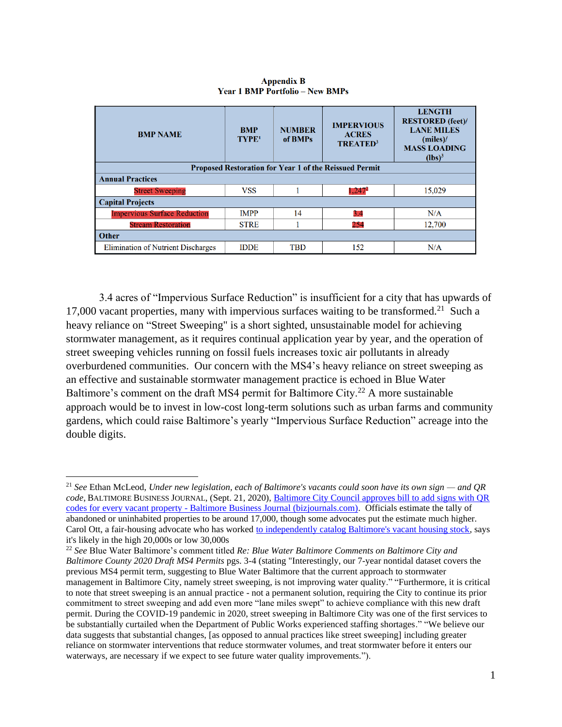| <b>BMP NAME</b>                                               | <b>BMP</b><br>TYPE <sup>1</sup> | <b>NUMBER</b><br>of BMPs | <b>IMPERVIOUS</b><br><b>ACRES</b><br><b>TREATED</b> <sup>3</sup> | <b>LENGTH</b><br><b>RESTORED</b> (feet)/<br><b>LANE MILES</b><br>$(miles)$ /<br><b>MASS LOADING</b><br>$(lbs)^3$ |  |  |  |
|---------------------------------------------------------------|---------------------------------|--------------------------|------------------------------------------------------------------|------------------------------------------------------------------------------------------------------------------|--|--|--|
| <b>Proposed Restoration for Year 1 of the Reissued Permit</b> |                                 |                          |                                                                  |                                                                                                                  |  |  |  |
| <b>Annual Practices</b>                                       |                                 |                          |                                                                  |                                                                                                                  |  |  |  |
| <b>Street Sweeping</b>                                        | <b>VSS</b>                      |                          | $1,247^2$                                                        | 15,029                                                                                                           |  |  |  |
| <b>Capital Projects</b>                                       |                                 |                          |                                                                  |                                                                                                                  |  |  |  |
| <b>Impervious Surface Reduction</b>                           | <b>IMPP</b>                     | 14                       | 3.4                                                              | N/A                                                                                                              |  |  |  |
| <b>Stream Restoration</b>                                     | <b>STRE</b>                     |                          | 254                                                              | 12,700                                                                                                           |  |  |  |
| <b>Other</b>                                                  |                                 |                          |                                                                  |                                                                                                                  |  |  |  |
| <b>Elimination of Nutrient Discharges</b>                     | <b>IDDE</b>                     | <b>TBD</b>               | 152                                                              | N/A                                                                                                              |  |  |  |

### **Appendix B Year 1 BMP Portfolio - New BMPs**

3.4 acres of "Impervious Surface Reduction" is insufficient for a city that has upwards of 17,000 vacant properties, many with impervious surfaces waiting to be transformed.<sup>21</sup> Such a heavy reliance on "Street Sweeping" is a short sighted, unsustainable model for achieving stormwater management, as it requires continual application year by year, and the operation of street sweeping vehicles running on fossil fuels increases toxic air pollutants in already overburdened communities. Our concern with the MS4's heavy reliance on street sweeping as an effective and sustainable stormwater management practice is echoed in Blue Water Baltimore's comment on the draft MS4 permit for Baltimore City.<sup>22</sup> A more sustainable approach would be to invest in low-cost long-term solutions such as urban farms and community gardens, which could raise Baltimore's yearly "Impervious Surface Reduction" acreage into the double digits.

<sup>21</sup> *See* Ethan McLeod, *Under new legislation, each of Baltimore's vacants could soon have its own sign — and QR code*, BALTIMORE BUSINESS JOURNAL, (Sept. 21, 2020), [Baltimore City Council approves bill to add signs with QR](about:blank)  codes for every vacant property - [Baltimore Business Journal \(bizjournals.com\).](about:blank) Officials estimate the tally of abandoned or uninhabited properties to be around 17,000, though some advocates put the estimate much higher. Carol Ott, a fair-housing advocate who has worked [to independently catalog Baltimore's vacant housing stock,](about:blank) says it's likely in the high 20,000s or low 30,000s

<sup>22</sup> *See* Blue Water Baltimore's comment titled *Re: Blue Water Baltimore Comments on Baltimore City and Baltimore County 2020 Draft MS4 Permits* pgs. 3-4 (stating "Interestingly, our 7-year nontidal dataset covers the previous MS4 permit term, suggesting to Blue Water Baltimore that the current approach to stormwater management in Baltimore City, namely street sweeping, is not improving water quality." "Furthermore, it is critical to note that street sweeping is an annual practice - not a permanent solution, requiring the City to continue its prior commitment to street sweeping and add even more "lane miles swept" to achieve compliance with this new draft permit. During the COVID-19 pandemic in 2020, street sweeping in Baltimore City was one of the first services to be substantially curtailed when the Department of Public Works experienced staffing shortages." "We believe our data suggests that substantial changes, [as opposed to annual practices like street sweeping] including greater reliance on stormwater interventions that reduce stormwater volumes, and treat stormwater before it enters our waterways, are necessary if we expect to see future water quality improvements.").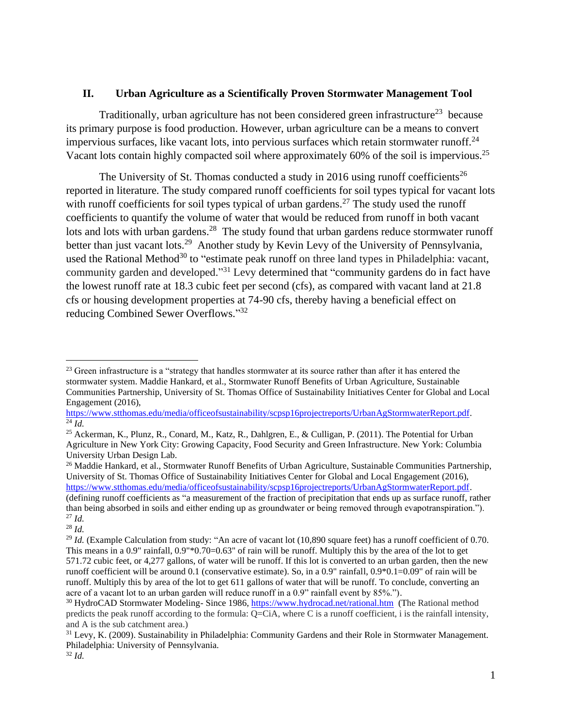## **II. Urban Agriculture as a Scientifically Proven Stormwater Management Tool**

Traditionally, urban agriculture has not been considered green infrastructure<sup>23</sup> because its primary purpose is food production. However, urban agriculture can be a means to convert impervious surfaces, like vacant lots, into pervious surfaces which retain stormwater runoff.<sup>24</sup> Vacant lots contain highly compacted soil where approximately 60% of the soil is impervious.<sup>25</sup>

The University of St. Thomas conducted a study in 2016 using runoff coefficients<sup>26</sup> reported in literature. The study compared runoff coefficients for soil types typical for vacant lots with runoff coefficients for soil types typical of urban gardens.<sup>27</sup> The study used the runoff coefficients to quantify the volume of water that would be reduced from runoff in both vacant lots and lots with urban gardens.<sup>28</sup> The study found that urban gardens reduce stormwater runoff better than just vacant lots.<sup>29</sup> Another study by Kevin Levy of the University of Pennsylvania, used the Rational Method<sup>30</sup> to "estimate peak runoff on three land types in Philadelphia: vacant, community garden and developed."<sup>31</sup> Levy determined that "community gardens do in fact have the lowest runoff rate at 18.3 cubic feet per second (cfs), as compared with vacant land at 21.8 cfs or housing development properties at 74-90 cfs, thereby having a beneficial effect on reducing Combined Sewer Overflows."32

<sup>26</sup> Maddie Hankard, et al., Stormwater Runoff Benefits of Urban Agriculture, Sustainable Communities Partnership, University of St. Thomas Office of Sustainability Initiatives Center for Global and Local Engagement (2016), [https://www.stthomas.edu/media/officeofsustainability/scpsp16projectreports/UrbanAgStormwaterReport.pdf.](about:blank) (defining runoff coefficients as "a measurement of the fraction of precipitation that ends up as surface runoff, rather than being absorbed in soils and either ending up as groundwater or being removed through evapotranspiration."). <sup>27</sup> *Id.*

 $23$  Green infrastructure is a "strategy that handles stormwater at its source rather than after it has entered the stormwater system. Maddie Hankard, et al., Stormwater Runoff Benefits of Urban Agriculture, Sustainable Communities Partnership, University of St. Thomas Office of Sustainability Initiatives Center for Global and Local Engagement (2016),

[https://www.stthomas.edu/media/officeofsustainability/scpsp16projectreports/UrbanAgStormwaterReport.pdf.](about:blank)  $\overline{^{24}$ *Id.* 

<sup>25</sup> Ackerman, K., Plunz, R., Conard, M., Katz, R., Dahlgren, E., & Culligan, P. (2011). The Potential for Urban Agriculture in New York City: Growing Capacity, Food Security and Green Infrastructure. New York: Columbia University Urban Design Lab.

 $28$  *Id.* 

<sup>&</sup>lt;sup>29</sup> *Id.* (Example Calculation from study: "An acre of vacant lot (10,890 square feet) has a runoff coefficient of 0.70. This means in a 0.9" rainfall, 0.9"\*0.70=0.63" of rain will be runoff. Multiply this by the area of the lot to get 571.72 cubic feet, or 4,277 gallons, of water will be runoff. If this lot is converted to an urban garden, then the new runoff coefficient will be around 0.1 (conservative estimate). So, in a 0.9" rainfall, 0.9\*0.1=0.09" of rain will be runoff. Multiply this by area of the lot to get 611 gallons of water that will be runoff. To conclude, converting an acre of a vacant lot to an urban garden will reduce runoff in a 0.9" rainfall event by 85%.").

<sup>&</sup>lt;sup>30</sup> HydroCAD Stormwater Modeling- Since 1986, [https://www.hydrocad.net/rational.htm](about:blank) (The Rational method predicts the peak runoff according to the formula: Q=CiA, where C is a runoff coefficient, i is the rainfall intensity, and A is the sub catchment area.)

<sup>&</sup>lt;sup>31</sup> Levy, K. (2009). Sustainability in Philadelphia: Community Gardens and their Role in Stormwater Management. Philadelphia: University of Pennsylvania. <sup>32</sup> *Id.*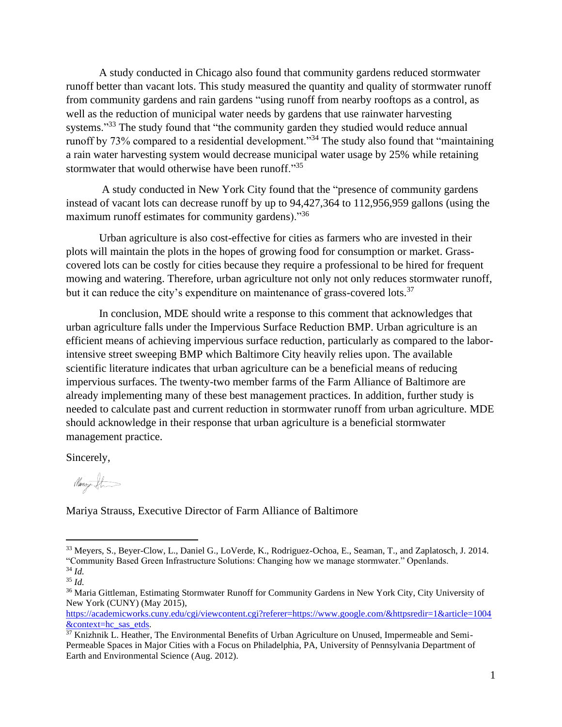A study conducted in Chicago also found that community gardens reduced stormwater runoff better than vacant lots. This study measured the quantity and quality of stormwater runoff from community gardens and rain gardens "using runoff from nearby rooftops as a control, as well as the reduction of municipal water needs by gardens that use rainwater harvesting systems."<sup>33</sup> The study found that "the community garden they studied would reduce annual runoff by 73% compared to a residential development."<sup>34</sup> The study also found that "maintaining a rain water harvesting system would decrease municipal water usage by 25% while retaining stormwater that would otherwise have been runoff."<sup>35</sup>

A study conducted in New York City found that the "presence of community gardens instead of vacant lots can decrease runoff by up to 94,427,364 to 112,956,959 gallons (using the maximum runoff estimates for community gardens)."<sup>36</sup>

Urban agriculture is also cost-effective for cities as farmers who are invested in their plots will maintain the plots in the hopes of growing food for consumption or market. Grasscovered lots can be costly for cities because they require a professional to be hired for frequent mowing and watering. Therefore, urban agriculture not only not only reduces stormwater runoff, but it can reduce the city's expenditure on maintenance of grass-covered lots.<sup>37</sup>

In conclusion, MDE should write a response to this comment that acknowledges that urban agriculture falls under the Impervious Surface Reduction BMP. Urban agriculture is an efficient means of achieving impervious surface reduction, particularly as compared to the laborintensive street sweeping BMP which Baltimore City heavily relies upon. The available scientific literature indicates that urban agriculture can be a beneficial means of reducing impervious surfaces. The twenty-two member farms of the Farm Alliance of Baltimore are already implementing many of these best management practices. In addition, further study is needed to calculate past and current reduction in stormwater runoff from urban agriculture. MDE should acknowledge in their response that urban agriculture is a beneficial stormwater management practice.

Sincerely,

Nanny St

Mariya Strauss, Executive Director of Farm Alliance of Baltimore

[https://academicworks.cuny.edu/cgi/viewcontent.cgi?referer=https://www.google.com/&httpsredir=1&article=1004](about:blank) [&context=hc\\_sas\\_etds.](about:blank)

<sup>33</sup> Meyers, S., Beyer-Clow, L., Daniel G., LoVerde, K., Rodriguez-Ochoa, E., Seaman, T., and Zaplatosch, J. 2014. "Community Based Green Infrastructure Solutions: Changing how we manage stormwater." Openlands. <sup>34</sup> *Id.*

<sup>35</sup> *Id.* 

<sup>&</sup>lt;sup>36</sup> Maria Gittleman, Estimating Stormwater Runoff for Community Gardens in New York City, City University of New York (CUNY) (May 2015),

 $37$  Knizhnik L. Heather, The Environmental Benefits of Urban Agriculture on Unused, Impermeable and Semi-Permeable Spaces in Major Cities with a Focus on Philadelphia, PA, University of Pennsylvania Department of Earth and Environmental Science (Aug. 2012).